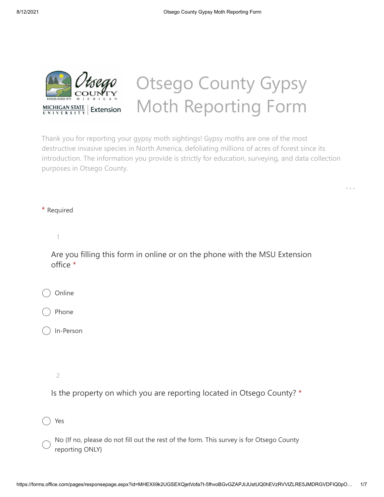

## Otsego County Gypsy Moth Reporting Form

. . .

Thank you for reporting your gypsy moth sightings! Gypsy moths are one of the most destructive invasive species in North America, defoliating millions of acres of forest since its introduction. The information you provide is strictly for education, surveying, and data collection purposes in Otsego County.

\* Required

1

Are you filling this form in online or on the phone with the MSU Extension office \*

Online

Phone

In-Person

2

Is the property on which you are reporting located in Otsego County? \*

Yes

No (If no, please do not fill out the rest of the form. This survey is for Otsego County reporting ONLY}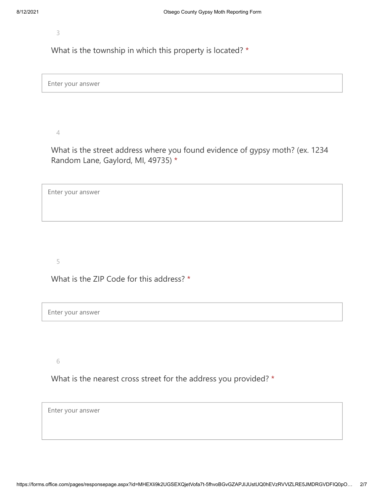3

What is the township in which this property is located? \*

Enter your answer

4

What is the street address where you found evidence of gypsy moth? (ex. 1234 Random Lane, Gaylord, MI, 49735) \*

Enter your answer

5

What is the ZIP Code for this address? \*

Enter your answer

6

What is the nearest cross street for the address you provided? \*

Enter your answer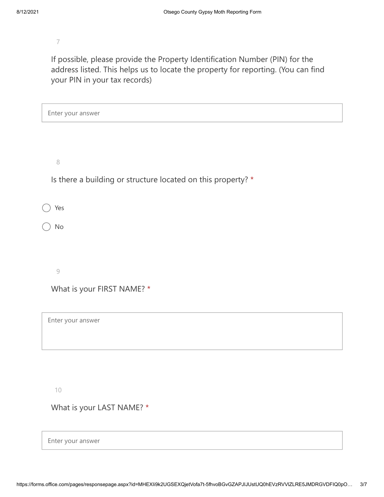7

If possible, please provide the Property Identification Number (PIN) for the address listed. This helps us to locate the property for reporting. (You can find your PIN in your tax records)

| Enter your answer                                            |
|--------------------------------------------------------------|
|                                                              |
|                                                              |
| $\,8\,$                                                      |
| Is there a building or structure located on this property? * |
|                                                              |
| Yes                                                          |
| No                                                           |
|                                                              |
|                                                              |
| $\mathcal{G}$                                                |
| What is your FIRST NAME? *                                   |
|                                                              |
| Enter your answer                                            |
|                                                              |
|                                                              |
|                                                              |

10

What is your LAST NAME? \*

Enter your answer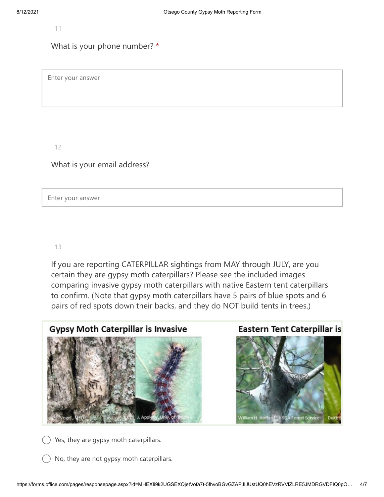11

## What is your phone number? \*

Enter your answer

12

What is your email address?

Enter your answer

## 13

If you are reporting CATERPILLAR sightings from MAY through JULY, are you certain they are gypsy moth caterpillars? Please see the included images comparing invasive gypsy moth caterpillars with native Eastern tent caterpillars to confirm. (Note that gypsy moth caterpillars have 5 pairs of blue spots and 6 pairs of red spots down their backs, and they do NOT build tents in trees.)



Yes, they are gypsy moth caterpillars.

No, they are not gypsy moth caterpillars.



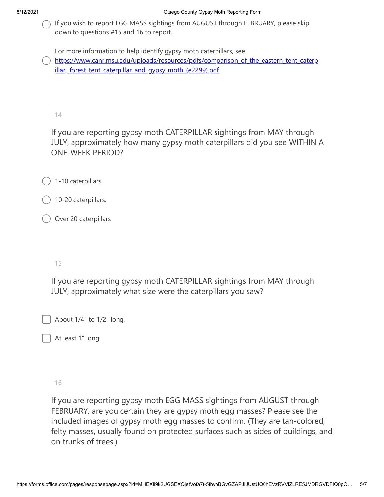If you wish to report EGG MASS sightings from AUGUST through FEBRUARY, please skip down to questions #15 and 16 to report.

For more information to help identify gypsy moth caterpillars, see

) https://www.canr.msu.edu/uploads/resources/pdfs/comparison of the eastern tent caterp illar, forest tent caterpillar and gypsy moth (e2299).pdf

14

If you are reporting gypsy moth CATERPILLAR sightings from MAY through JULY, approximately how many gypsy moth caterpillars did you see WITHIN A ONE-WEEK PERIOD?

- 1-10 caterpillars.
- 10-20 caterpillars.
- Over 20 caterpillars

## 15

If you are reporting gypsy moth CATERPILLAR sightings from MAY through JULY, approximately what size were the caterpillars you saw?

About 1/4" to 1/2" long.

At least 1" long.

16

If you are reporting gypsy moth EGG MASS sightings from AUGUST through FEBRUARY, are you certain they are gypsy moth egg masses? Please see the included images of gypsy moth egg masses to confirm. (They are tan-colored, felty masses, usually found on protected surfaces such as sides of buildings, and on trunks of trees.)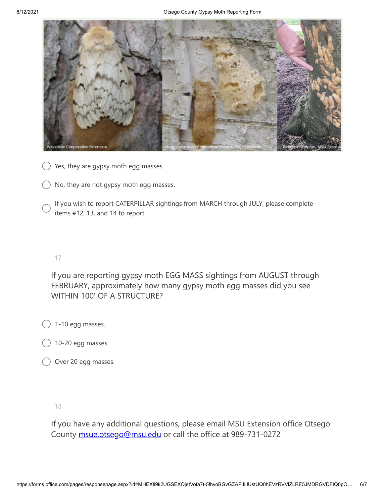

) Yes, they are gypsy moth egg masses.

No, they are not gypsy moth egg masses.

If you wish to report CATERPILLAR sightings from MARCH through JULY, please complete items #12, 13, and 14 to report.

17

If you are reporting gypsy moth EGG MASS sightings from AUGUST through FEBRUARY, approximately how many gypsy moth egg masses did you see WITHIN 100' OF A STRUCTURE?

1-10 egg masses.

- 10-20 egg masses.
- Over 20 egg masses.

18

If you have any additional questions, please email MSU Extension office Otsego County [msue.otsego@msu.edu](mailto:msue.otsego@msu.edu) or call the office at 989-731-0272